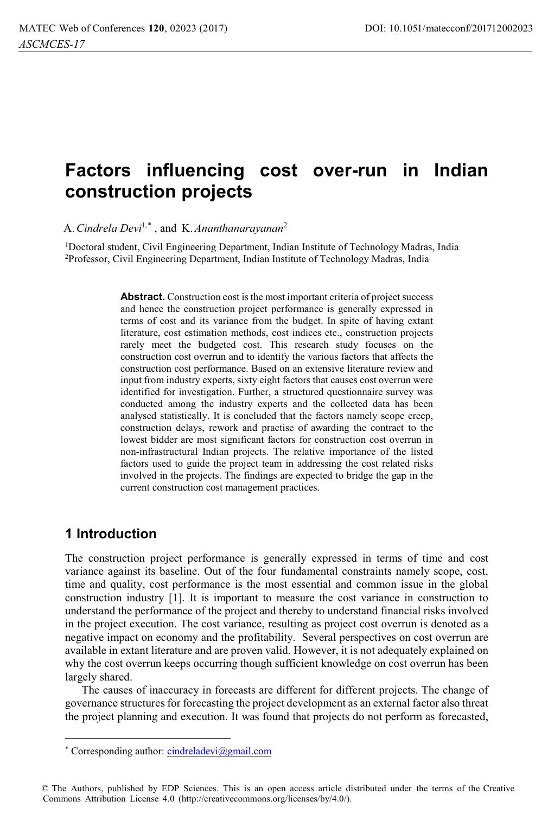# **Factors influencing cost over-run in Indian construction projects**

A.*Cindrela Devi*1,\* , and K.*Ananthanarayanan*<sup>2</sup>

1Doctoral student, Civil Engineering Department, Indian Institute of Technology Madras, India 2Professor, Civil Engineering Department, Indian Institute of Technology Madras, India

> Abstract. Construction cost is the most important criteria of project success and hence the construction project performance is generally expressed in terms of cost and its variance from the budget. In spite of having extant literature, cost estimation methods, cost indices etc., construction projects rarely meet the budgeted cost. This research study focuses on the construction cost overrun and to identify the various factors that affects the construction cost performance. Based on an extensive literature review and input from industry experts, sixty eight factors that causes cost overrun were identified for investigation. Further, a structured questionnaire survey was conducted among the industry experts and the collected data has been analysed statistically. It is concluded that the factors namely scope creep, construction delays, rework and practise of awarding the contract to the lowest bidder are most significant factors for construction cost overrun in non-infrastructural Indian projects. The relative importance of the listed factors used to guide the project team in addressing the cost related risks involved in the projects. The findings are expected to bridge the gap in the current construction cost management practices.

### **1 Introduction**

The construction project performance is generally expressed in terms of time and cost variance against its baseline. Out of the four fundamental constraints namely scope, cost, time and quality, cost performance is the most essential and common issue in the global construction industry [1]. It is important to measure the cost variance in construction to understand the performance of the project and thereby to understand financial risks involved in the project execution. The cost variance, resulting as project cost overrun is denoted as a negative impact on economy and the profitability. Several perspectives on cost overrun are available in extant literature and are proven valid. However, it is not adequately explained on why the cost overrun keeps occurring though sufficient knowledge on cost overrun has been largely shared.

The causes of inaccuracy in forecasts are different for different projects. The change of governance structures for forecasting the project development as an external factor also threat the project planning and execution. It was found that projects do not perform as forecasted,

<sup>\*</sup> Corresponding author: cindreladevi@gmail.com

<sup>©</sup> The Authors, published by EDP Sciences. This is an open access article distributed under the terms of the Creative Commons Attribution License 4.0 (http://creativecommons.org/licenses/by/4.0/).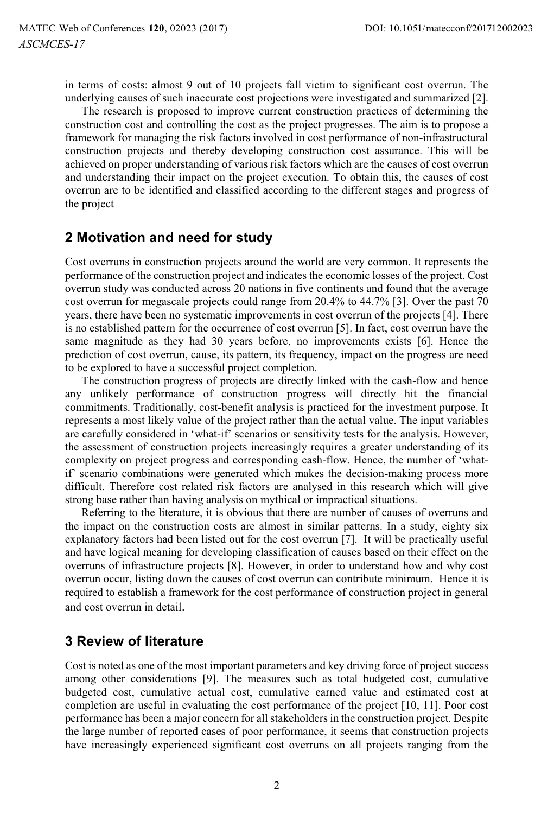in terms of costs: almost 9 out of 10 projects fall victim to significant cost overrun. The underlying causes of such inaccurate cost projections were investigated and summarized [2].

The research is proposed to improve current construction practices of determining the construction cost and controlling the cost as the project progresses. The aim is to propose a framework for managing the risk factors involved in cost performance of non-infrastructural construction projects and thereby developing construction cost assurance. This will be achieved on proper understanding of various risk factors which are the causes of cost overrun and understanding their impact on the project execution. To obtain this, the causes of cost overrun are to be identified and classified according to the different stages and progress of the project

### **2 Motivation and need for study**

Cost overruns in construction projects around the world are very common. It represents the performance of the construction project and indicates the economic losses of the project. Cost overrun study was conducted across 20 nations in five continents and found that the average cost overrun for megascale projects could range from 20.4% to 44.7% [3]. Over the past 70 years, there have been no systematic improvements in cost overrun of the projects [4]. There is no established pattern for the occurrence of cost overrun [5]. In fact, cost overrun have the same magnitude as they had 30 years before, no improvements exists [6]. Hence the prediction of cost overrun, cause, its pattern, its frequency, impact on the progress are need to be explored to have a successful project completion.

The construction progress of projects are directly linked with the cash-flow and hence any unlikely performance of construction progress will directly hit the financial commitments. Traditionally, cost-benefit analysis is practiced for the investment purpose. It represents a most likely value of the project rather than the actual value. The input variables are carefully considered in 'what-if' scenarios or sensitivity tests for the analysis. However, the assessment of construction projects increasingly requires a greater understanding of its complexity on project progress and corresponding cash-flow. Hence, the number of 'whatif' scenario combinations were generated which makes the decision-making process more difficult. Therefore cost related risk factors are analysed in this research which will give strong base rather than having analysis on mythical or impractical situations.

Referring to the literature, it is obvious that there are number of causes of overruns and the impact on the construction costs are almost in similar patterns. In a study, eighty six explanatory factors had been listed out for the cost overrun [7]. It will be practically useful and have logical meaning for developing classification of causes based on their effect on the overruns of infrastructure projects [8]. However, in order to understand how and why cost overrun occur, listing down the causes of cost overrun can contribute minimum. Hence it is required to establish a framework for the cost performance of construction project in general and cost overrun in detail.

### **3 Review of literature**

Cost is noted as one of the most important parameters and key driving force of project success among other considerations [9]. The measures such as total budgeted cost, cumulative budgeted cost, cumulative actual cost, cumulative earned value and estimated cost at completion are useful in evaluating the cost performance of the project [10, 11]. Poor cost performance has been a major concern for all stakeholders in the construction project. Despite the large number of reported cases of poor performance, it seems that construction projects have increasingly experienced significant cost overruns on all projects ranging from the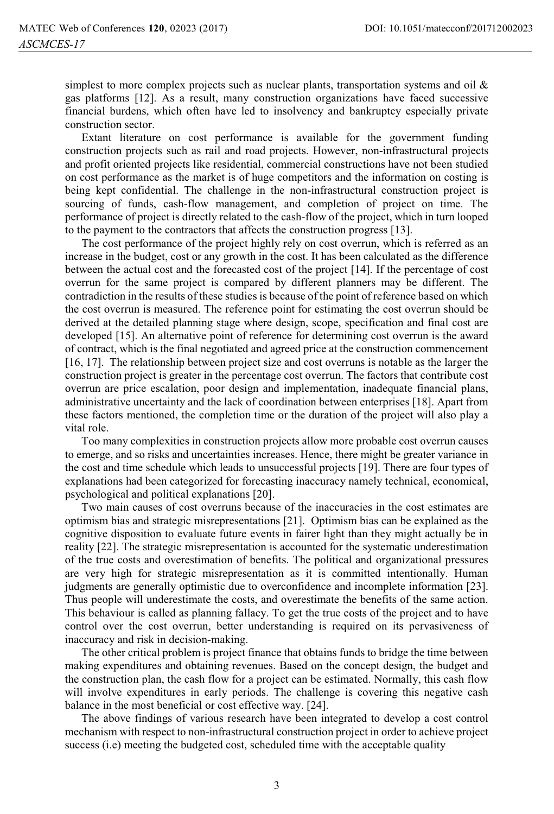simplest to more complex projects such as nuclear plants, transportation systems and oil & gas platforms [12]. As a result, many construction organizations have faced successive financial burdens, which often have led to insolvency and bankruptcy especially private construction sector.

Extant literature on cost performance is available for the government funding construction projects such as rail and road projects. However, non-infrastructural projects and profit oriented projects like residential, commercial constructions have not been studied on cost performance as the market is of huge competitors and the information on costing is being kept confidential. The challenge in the non-infrastructural construction project is sourcing of funds, cash-flow management, and completion of project on time. The performance of project is directly related to the cash-flow of the project, which in turn looped to the payment to the contractors that affects the construction progress [13].

The cost performance of the project highly rely on cost overrun, which is referred as an increase in the budget, cost or any growth in the cost. It has been calculated as the difference between the actual cost and the forecasted cost of the project [14]. If the percentage of cost overrun for the same project is compared by different planners may be different. The contradiction in the results of these studies is because of the point of reference based on which the cost overrun is measured. The reference point for estimating the cost overrun should be derived at the detailed planning stage where design, scope, specification and final cost are developed [15]. An alternative point of reference for determining cost overrun is the award of contract, which is the final negotiated and agreed price at the construction commencement [16, 17]. The relationship between project size and cost overruns is notable as the larger the construction project is greater in the percentage cost overrun. The factors that contribute cost overrun are price escalation, poor design and implementation, inadequate financial plans, administrative uncertainty and the lack of coordination between enterprises [18]. Apart from these factors mentioned, the completion time or the duration of the project will also play a vital role.

Too many complexities in construction projects allow more probable cost overrun causes to emerge, and so risks and uncertainties increases. Hence, there might be greater variance in the cost and time schedule which leads to unsuccessful projects [19]. There are four types of explanations had been categorized for forecasting inaccuracy namely technical, economical, psychological and political explanations [20].

Two main causes of cost overruns because of the inaccuracies in the cost estimates are optimism bias and strategic misrepresentations [21]. Optimism bias can be explained as the cognitive disposition to evaluate future events in fairer light than they might actually be in reality [22]. The strategic misrepresentation is accounted for the systematic underestimation of the true costs and overestimation of benefits. The political and organizational pressures are very high for strategic misrepresentation as it is committed intentionally. Human judgments are generally optimistic due to overconfidence and incomplete information [23]. Thus people will underestimate the costs, and overestimate the benefits of the same action. This behaviour is called as planning fallacy. To get the true costs of the project and to have control over the cost overrun, better understanding is required on its pervasiveness of inaccuracy and risk in decision-making.

The other critical problem is project finance that obtains funds to bridge the time between making expenditures and obtaining revenues. Based on the concept design, the budget and the construction plan, the cash flow for a project can be estimated. Normally, this cash flow will involve expenditures in early periods. The challenge is covering this negative cash balance in the most beneficial or cost effective way. [24].

The above findings of various research have been integrated to develop a cost control mechanism with respect to non-infrastructural construction project in order to achieve project success (i.e) meeting the budgeted cost, scheduled time with the acceptable quality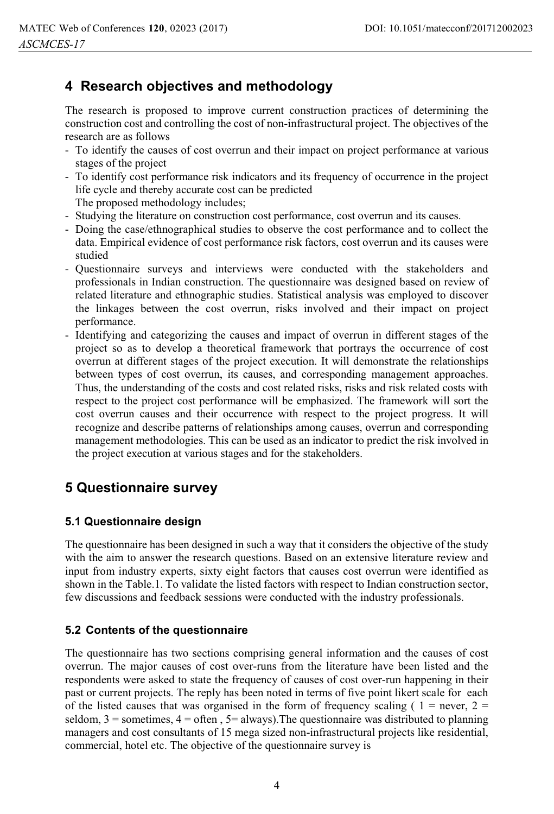# **4 Research objectives and methodology**

The research is proposed to improve current construction practices of determining the construction cost and controlling the cost of non-infrastructural project. The objectives of the research are as follows

- To identify the causes of cost overrun and their impact on project performance at various stages of the project
- To identify cost performance risk indicators and its frequency of occurrence in the project life cycle and thereby accurate cost can be predicted

The proposed methodology includes;

- Studying the literature on construction cost performance, cost overrun and its causes.
- Doing the case/ethnographical studies to observe the cost performance and to collect the data. Empirical evidence of cost performance risk factors, cost overrun and its causes were studied
- Questionnaire surveys and interviews were conducted with the stakeholders and professionals in Indian construction. The questionnaire was designed based on review of related literature and ethnographic studies. Statistical analysis was employed to discover the linkages between the cost overrun, risks involved and their impact on project performance.
- Identifying and categorizing the causes and impact of overrun in different stages of the project so as to develop a theoretical framework that portrays the occurrence of cost overrun at different stages of the project execution. It will demonstrate the relationships between types of cost overrun, its causes, and corresponding management approaches. Thus, the understanding of the costs and cost related risks, risks and risk related costs with respect to the project cost performance will be emphasized. The framework will sort the cost overrun causes and their occurrence with respect to the project progress. It will recognize and describe patterns of relationships among causes, overrun and corresponding management methodologies. This can be used as an indicator to predict the risk involved in the project execution at various stages and for the stakeholders.

# **5 Questionnaire survey**

#### **5.1 Questionnaire design**

The questionnaire has been designed in such a way that it considers the objective of the study with the aim to answer the research questions. Based on an extensive literature review and input from industry experts, sixty eight factors that causes cost overrun were identified as shown in the Table.1. To validate the listed factors with respect to Indian construction sector, few discussions and feedback sessions were conducted with the industry professionals.

### **5.2 Contents of the questionnaire**

The questionnaire has two sections comprising general information and the causes of cost overrun. The major causes of cost over-runs from the literature have been listed and the respondents were asked to state the frequency of causes of cost over-run happening in their past or current projects. The reply has been noted in terms of five point likert scale for each of the listed causes that was organised in the form of frequency scaling ( $1 =$  never,  $2 =$ seldom,  $3 =$  sometimes,  $4 =$  often,  $5 =$  always). The questionnaire was distributed to planning managers and cost consultants of 15 mega sized non-infrastructural projects like residential, commercial, hotel etc. The objective of the questionnaire survey is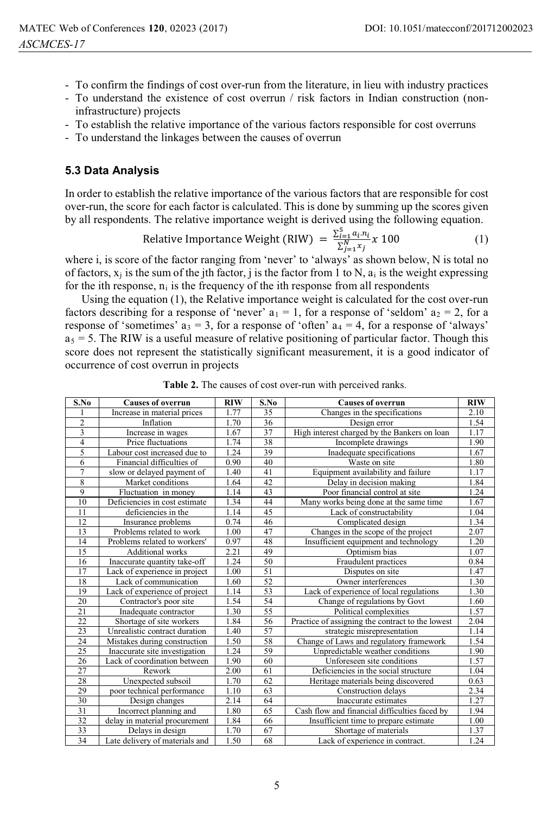- To confirm the findings of cost over-run from the literature, in lieu with industry practices
- To understand the existence of cost overrun / risk factors in Indian construction (noninfrastructure) projects
- To establish the relative importance of the various factors responsible for cost overruns
- To understand the linkages between the causes of overrun

#### **5.3 Data Analysis**

In order to establish the relative importance of the various factors that are responsible for cost over-run, the score for each factor is calculated. This is done by summing up the scores given by all respondents. The relative importance weight is derived using the following equation.

Relative Importance Weight (RIW) = 
$$
\frac{\sum_{i=1}^{5} a_i n_i}{\sum_{j=1}^{N} x_j} \times 100
$$
 (1)

where i, is score of the factor ranging from 'never' to 'always' as shown below, N is total no of factors,  $x_i$  is the sum of the jth factor, j is the factor from 1 to N,  $a_i$  is the weight expressing for the ith response,  $n_i$  is the frequency of the ith response from all respondents

Using the equation (1), the Relative importance weight is calculated for the cost over-run factors describing for a response of 'never'  $a_1 = 1$ , for a response of 'seldom'  $a_2 = 2$ , for a response of 'sometimes'  $a_3 = 3$ , for a response of 'often'  $a_4 = 4$ , for a response of 'always'  $a_5 = 5$ . The RIW is a useful measure of relative positioning of particular factor. Though this score does not represent the statistically significant measurement, it is a good indicator of occurrence of cost overrun in projects

| S.No                    | <b>Causes of overrun</b>       | <b>RIW</b> | S.No            | <b>Causes of overrun</b>                         | RIW  |
|-------------------------|--------------------------------|------------|-----------------|--------------------------------------------------|------|
| 1                       | Increase in material prices    | 1.77       | 35              | Changes in the specifications                    | 2.10 |
| $\overline{c}$          | Inflation                      | 1.70       | 36              | Design error                                     | 1.54 |
| $\overline{\mathbf{3}}$ | Increase in wages              | 1.67       | $\overline{37}$ | High interest charged by the Bankers on loan     | 1.17 |
| $\overline{4}$          | Price fluctuations             | 1.74       | 38              | Incomplete drawings                              | 1.90 |
| 5                       | Labour cost increased due to   | 1.24       | 39              | Inadequate specifications                        | 1.67 |
| 6                       | Financial difficulties of      | 0.90       | 40              | Waste on site                                    | 1.80 |
| $\tau$                  | slow or delayed payment of     | 1.40       | 41              | Equipment availability and failure               | 1.17 |
| 8                       | Market conditions              | 1.64       | 42              | Delay in decision making                         | 1.84 |
| 9                       | Fluctuation in money           | 1.14       | 43              | Poor financial control at site                   | 1.24 |
| 10                      | Deficiencies in cost estimate  | 1.34       | 44              | Many works being done at the same time           | 1.67 |
| 11                      | deficiencies in the            | 1.14       | 45              | Lack of constructability                         | 1.04 |
| 12                      | Insurance problems             | 0.74       | 46              | Complicated design                               | 1.34 |
| 13                      | Problems related to work       | 1.00       | 47              | Changes in the scope of the project              | 2.07 |
| 14                      | Problems related to workers'   | 0.97       | 48              | Insufficient equipment and technology            | 1.20 |
| 15                      | <b>Additional works</b>        | 2.21       | 49              | Optimism bias                                    | 1.07 |
| 16                      | Inaccurate quantity take-off   | 1.24       | 50              | Fraudulent practices                             | 0.84 |
| 17                      | Lack of experience in project  | 1.00       | 51              | Disputes on site                                 | 1.47 |
| 18                      | Lack of communication          | 1.60       | 52              | Owner interferences                              | 1.30 |
| 19                      | Lack of experience of project  | 1.14       | 53              | Lack of experience of local regulations          | 1.30 |
| 20                      | Contractor's poor site         | 1.54       | 54              | Change of regulations by Govt                    | 1.60 |
| 21                      | Inadequate contractor          | 1.30       | 55              | Political complexities                           | 1.57 |
| 22                      | Shortage of site workers       | 1.84       | 56              | Practice of assigning the contract to the lowest | 2.04 |
| $\overline{23}$         | Unrealistic contract duration  | 1.40       | 57              | strategic misrepresentation                      | 1.14 |
| 24                      | Mistakes during construction   | 1.50       | 58              | Change of Laws and regulatory framework          | 1.54 |
| 25                      | Inaccurate site investigation  | 1.24       | 59              | Unpredictable weather conditions                 | 1.90 |
| 26                      | Lack of coordination between   | 1.90       | 60              | Unforeseen site conditions                       | 1.57 |
| 27                      | Rework                         | 2.00       | 61              | Deficiencies in the social structure             | 1.04 |
| 28                      | Unexpected subsoil             | 1.70       | 62              | Heritage materials being discovered              | 0.63 |
| 29                      | poor technical performance     | 1.10       | 63              | Construction delays                              | 2.34 |
| 30                      | Design changes                 | 2.14       | 64              | Inaccurate estimates                             | 1.27 |
| 31                      | Incorrect planning and         | 1.80       | 65              | Cash flow and financial difficulties faced by    | 1.94 |
| 32                      | delay in material procurement  | 1.84       | 66              | Insufficient time to prepare estimate            | 1.00 |
| 33                      | Delays in design               | 1.70       | 67              | Shortage of materials                            | 1.37 |
| 34                      | Late delivery of materials and | 1.50       | 68              | Lack of experience in contract.                  | 1.24 |

**Table 2.** The causes of cost over-run with perceived ranks.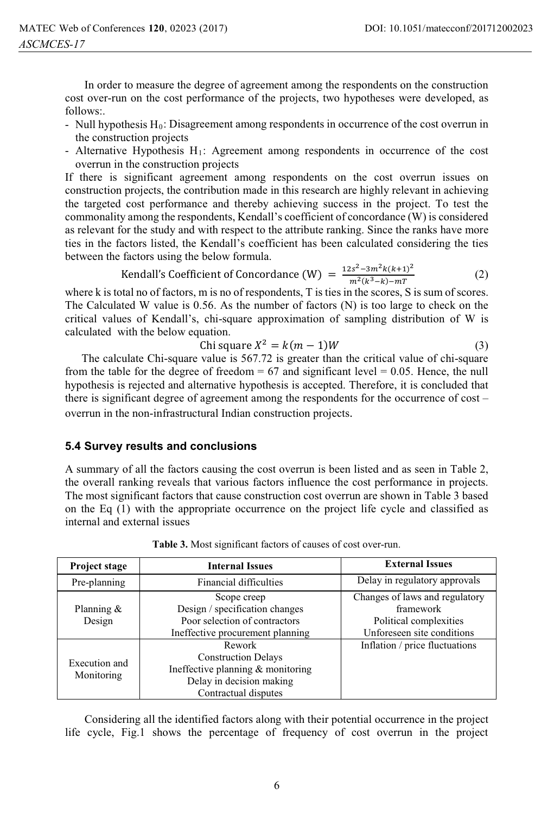In order to measure the degree of agreement among the respondents on the construction cost over-run on the cost performance of the projects, two hypotheses were developed, as follows:.

- Null hypothesis  $H_0$ : Disagreement among respondents in occurrence of the cost overrun in the construction projects
- Alternative Hypothesis H1: Agreement among respondents in occurrence of the cost overrun in the construction projects

If there is significant agreement among respondents on the cost overrun issues on construction projects, the contribution made in this research are highly relevant in achieving the targeted cost performance and thereby achieving success in the project. To test the commonality among the respondents, Kendall's coefficient of concordance (W) is considered as relevant for the study and with respect to the attribute ranking. Since the ranks have more ties in the factors listed, the Kendall's coefficient has been calculated considering the ties between the factors using the below formula.

Kendall's Coefficient of Concordance (W) =  $\frac{12s^2-3m^2k(k+1)^2}{m^2(k^3-k)-mT}$  (2)

where k is total no of factors, m is no of respondents, T is ties in the scores, S is sum of scores. The Calculated W value is 0.56. As the number of factors (N) is too large to check on the critical values of Kendall's, chi-square approximation of sampling distribution of W is calculated with the below equation.

$$
Chi square X^2 = k(m-1)W
$$
\n(3)

The calculate Chi-square value is 567.72 is greater than the critical value of chi-square from the table for the degree of freedom  $= 67$  and significant level  $= 0.05$ . Hence, the null hypothesis is rejected and alternative hypothesis is accepted. Therefore, it is concluded that there is significant degree of agreement among the respondents for the occurrence of cost – overrun in the non-infrastructural Indian construction projects.

#### **5.4 Survey results and conclusions**

A summary of all the factors causing the cost overrun is been listed and as seen in Table 2, the overall ranking reveals that various factors influence the cost performance in projects. The most significant factors that cause construction cost overrun are shown in Table 3 based on the Eq (1) with the appropriate occurrence on the project life cycle and classified as internal and external issues

| Project stage               | <b>Internal Issues</b>                                                                                                        | <b>External Issues</b>                                                                              |  |
|-----------------------------|-------------------------------------------------------------------------------------------------------------------------------|-----------------------------------------------------------------------------------------------------|--|
| Pre-planning                | <b>Financial difficulties</b>                                                                                                 | Delay in regulatory approvals                                                                       |  |
| Planning $\&$<br>Design     | Scope creep<br>Design / specification changes<br>Poor selection of contractors<br>Ineffective procurement planning            | Changes of laws and regulatory<br>framework<br>Political complexities<br>Unforeseen site conditions |  |
| Execution and<br>Monitoring | Rework<br><b>Construction Delays</b><br>Ineffective planning & monitoring<br>Delay in decision making<br>Contractual disputes | Inflation / price fluctuations                                                                      |  |

**Table 3.** Most significant factors of causes of cost over-run.

 Considering all the identified factors along with their potential occurrence in the project life cycle, Fig.1 shows the percentage of frequency of cost overrun in the project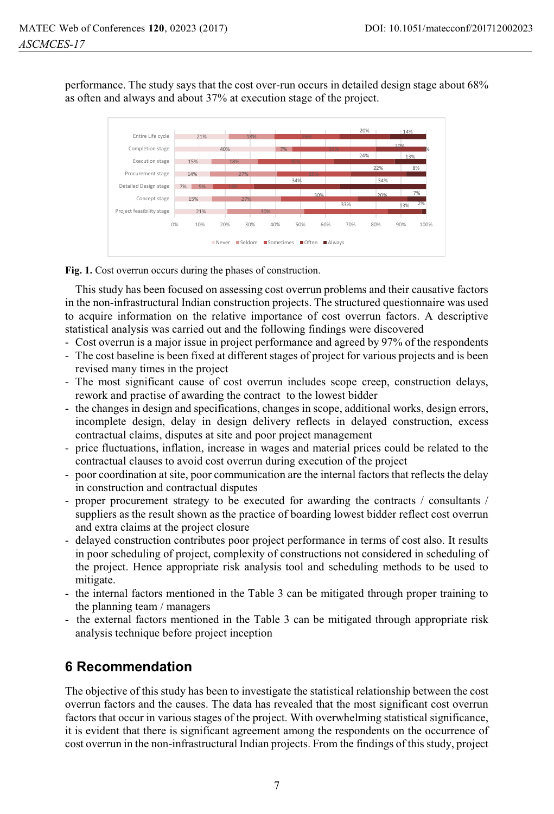performance. The study says that the cost over-run occurs in detailed design stage about 68% as often and always and about 37% at execution stage of the project.



#### **Fig. 1.** Cost overrun occurs during the phases of construction.

This study has been focused on assessing cost overrun problems and their causative factors in the non-infrastructural Indian construction projects. The structured questionnaire was used to acquire information on the relative importance of cost overrun factors. A descriptive statistical analysis was carried out and the following findings were discovered

- Cost overrun is a major issue in project performance and agreed by 97% of the respondents
- The cost baseline is been fixed at different stages of project for various projects and is been revised many times in the project
- The most significant cause of cost overrun includes scope creep, construction delays, rework and practise of awarding the contract to the lowest bidder
- the changes in design and specifications, changes in scope, additional works, design errors, incomplete design, delay in design delivery reflects in delayed construction, excess contractual claims, disputes at site and poor project management
- price fluctuations, inflation, increase in wages and material prices could be related to the contractual clauses to avoid cost overrun during execution of the project
- poor coordination at site, poor communication are the internal factors that reflects the delay in construction and contractual disputes
- proper procurement strategy to be executed for awarding the contracts / consultants / suppliers as the result shown as the practice of boarding lowest bidder reflect cost overrun and extra claims at the project closure
- delayed construction contributes poor project performance in terms of cost also. It results in poor scheduling of project, complexity of constructions not considered in scheduling of the project. Hence appropriate risk analysis tool and scheduling methods to be used to mitigate.
- the internal factors mentioned in the Table 3 can be mitigated through proper training to the planning team / managers
- the external factors mentioned in the Table 3 can be mitigated through appropriate risk analysis technique before project inception

## **6 Recommendation**

The objective of this study has been to investigate the statistical relationship between the cost overrun factors and the causes. The data has revealed that the most significant cost overrun factors that occur in various stages of the project. With overwhelming statistical significance, it is evident that there is significant agreement among the respondents on the occurrence of cost overrun in the non-infrastructural Indian projects. From the findings of this study, project